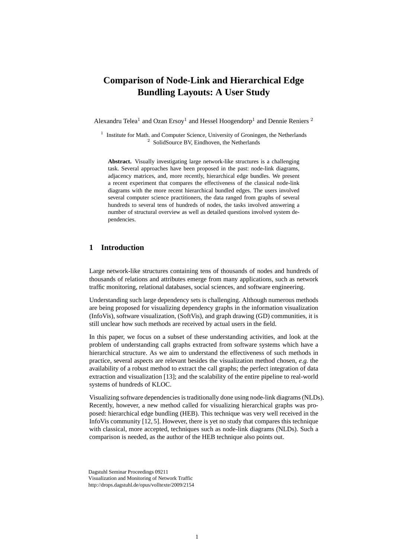# **Comparison of Node-Link and Hierarchical Edge Bundling Layouts: A User Study**

Alexandru Telea<sup>1</sup> and Ozan Ersoy<sup>1</sup> and Hessel Hoogendorp<sup>1</sup> and Dennie Reniers<sup>2</sup>

<sup>1</sup> Institute for Math. and Computer Science, University of Groningen, the Netherlands <sup>2</sup> SolidSource BV, Eindhoven, the Netherlands

**Abstract.** Visually investigating large network-like structures is a challenging task. Several approaches have been proposed in the past: node-link diagrams, adjacency matrices, and, more recently, hierarchical edge bundles. We present a recent experiment that compares the effectiveness of the classical node-link diagrams with the more recent hierarchical bundled edges. The users involved several computer science practitioners, the data ranged from graphs of several hundreds to several tens of hundreds of nodes, the tasks involved answering a number of structural overview as well as detailed questions involved system dependencies.

## **1 Introduction**

Large network-like structures containing tens of thousands of nodes and hundreds of thousands of relations and attributes emerge from many applications, such as network traffic monitoring, relational databases, social sciences, and software engineering.

Understanding such large dependency sets is challenging. Although numerous methods are being proposed for visualizing dependency graphs in the information visualization (InfoVis), software visualization, (SoftVis), and graph drawing (GD) communities, it is still unclear how such methods are received by actual users in the field.

In this paper, we focus on a subset of these understanding activities, and look at the problem of understanding call graphs extracted from software systems which have a hierarchical structure. As we aim to understand the effectiveness of such methods in practice, several aspects are relevant besides the visualization method chosen, *e.g.* the availability of a robust method to extract the call graphs; the perfect integration of data extraction and visualization [13]; and the scalability of the entire pipeline to real-world systems of hundreds of KLOC.

Visualizing software dependencies is traditionally done using node-link diagrams (NLDs). Recently, however, a new method called for visualizing hierarchical graphs was proposed: hierarchical edge bundling (HEB). This technique was very well received in the InfoVis community [12, 5]. However, there is yet no study that compares this technique with classical, more accepted, techniques such as node-link diagrams (NLDs). Such a comparison is needed, as the author of the HEB technique also points out.

Dagstuhl Seminar Proceedings 09211 Visualization and Monitoring of Network Traffic http://drops.dagstuhl.de/opus/volltexte/2009/2154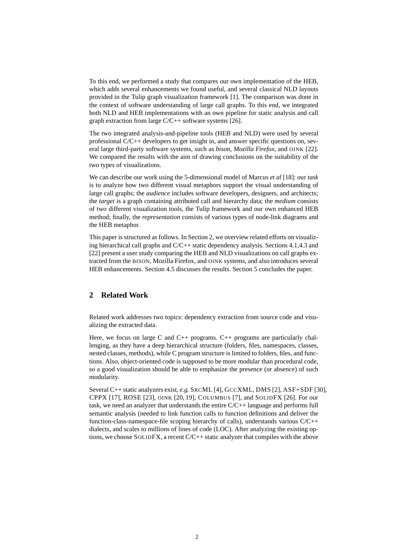To this end, we performed a study that compares our own implementation of the HEB, which adds several enhancements we found useful, and several classical NLD layouts provided in the Tulip graph visualization framework [1]. The comparison was done in the context of software understanding of large call graphs. To this end, we integrated both NLD and HEB implementations with an own pipeline for static analysis and call graph extraction from large C/C++ software systems [26].

The two integrated analysis-and-pipeline tools (HEB and NLD) were used by several professional C/C++ developers to get insight in, and answer specific questions on, several large third-party software systems, such as *bison*, *Mozilla Firefox*, and OINK [22]. We compared the results with the aim of drawing conclusions on the suitability of the two types of visualizations.

We can describe our work using the 5-dimensional model of Marcus *et al* [18]: our *task* is to analyze how two different visual metaphors support the visual understanding of large call graphs; the *audience* includes software developers, designers, and architects; the *target* is a graph containing attributed call and hierarchy data; the *medium* consists of two different visualization tools, the Tulip framework and our own enhanced HEB method; finally, the *representation* consists of various types of node-link diagrams and the HEB metaphor.

This paper is structured as follows. In Section 2, we overview related efforts on visualizing hierarchical call graphs and C/C++ static dependency analysis. Sections 4.1,4.3 and [22] present a user study comparing the HEB and NLD visualizations on call graphs extracted from the BISON, Mozilla Firefox, and OINK systems, and also introduces several HEB enhancements. Section 4.5 discusses the results. Section 5 concludes the paper.

# **2 Related Work**

Related work addresses two topics: dependency extraction from source code and visualizing the extracted data.

Here, we focus on large C and  $C_{++}$  programs.  $C_{++}$  programs are particularly challenging, as they have a deep hierarchical structure (folders, files, namespaces, classes, nested classes, methods), while C program structure is limited to folders, files, and functions. Also, object-oriented code is supposed to be more modular than procedural code, so a good visualization should be able to emphasize the presence (or absence) of such modularity.

Several C++ static analyzers exist, *e.g.* SRCML [4], GCCXML, DMS [2], ASF+SDF [30], CPPX [17], ROSE [23], OINK [20, 19], COLUMBUS [7], and SOLIDFX [26]. For our task, we need an analyzer that understands the entire C/C++ language and performs full semantic analysis (needed to link function calls to function definitions and deliver the function-class-namespace-file scoping hierarchy of calls), understands various C/C++ dialects, and scales to millions of lines of code (LOC). After analyzing the existing options, we choose SOLIDFX, a recent C/C++ static analyzer that compiles with the above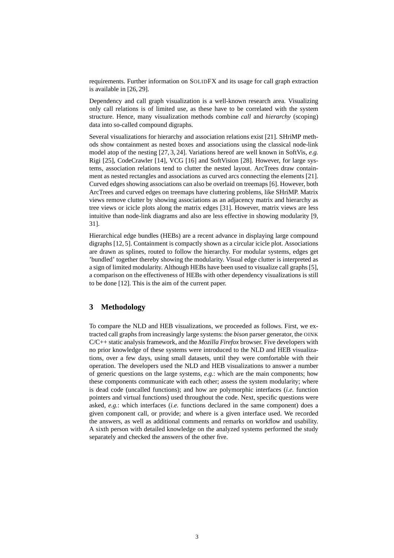requirements. Further information on SOLIDFX and its usage for call graph extraction is available in [26, 29].

Dependency and call graph visualization is a well-known research area. Visualizing only call relations is of limited use, as these have to be correlated with the system structure. Hence, many visualization methods combine *call* and *hierarchy* (scoping) data into so-called compound digraphs.

Several visualizations for hierarchy and association relations exist [21]. SHriMP methods show containment as nested boxes and associations using the classical node-link model atop of the nesting [27, 3, 24]. Variations hereof are well known in SoftVis, *e.g.* Rigi [25], CodeCrawler [14], VCG [16] and SoftVision [28]. However, for large systems, association relations tend to clutter the nested layout. ArcTrees draw containment as nested rectangles and associations as curved arcs connecting the elements [21]. Curved edges showing associations can also be overlaid on treemaps [6]. However, both ArcTrees and curved edges on treemaps have cluttering problems, like SHriMP. Matrix views remove clutter by showing associations as an adjacency matrix and hierarchy as tree views or icicle plots along the matrix edges [31]. However, matrix views are less intuitive than node-link diagrams and also are less effective in showing modularity [9, 31].

Hierarchical edge bundles (HEBs) are a recent advance in displaying large compound digraphs [12, 5]. Containment is compactly shown as a circular icicle plot. Associations are drawn as splines, routed to follow the hierarchy. For modular systems, edges get 'bundled' together thereby showing the modularity. Visual edge clutter is interpreted as a sign of limited modularity. Although HEBs have been used to visualize call graphs [5], a comparison on the effectiveness of HEBs with other dependency visualizations is still to be done [12]. This is the aim of the current paper.

# **3 Methodology**

To compare the NLD and HEB visualizations, we proceeded as follows. First, we extracted call graphs from increasingly large systems: the *bison* parser generator, the OINK C/C++ static analysis framework, and the *Mozilla Firefox* browser. Five developers with no prior knowledge of these systems were introduced to the NLD and HEB visualizations, over a few days, using small datasets, until they were comfortable with their operation. The developers used the NLD and HEB visualizations to answer a number of generic questions on the large systems, *e.g.*: which are the main components; how these components communicate with each other; assess the system modularity; where is dead code (uncalled functions); and how are polymorphic interfaces (*i.e.* function pointers and virtual functions) used throughout the code. Next, specific questions were asked, *e.g.*: which interfaces (*i.e.* functions declared in the same component) does a given component call, or provide; and where is a given interface used. We recorded the answers, as well as additional comments and remarks on workflow and usability. A sixth person with detailed knowledge on the analyzed systems performed the study separately and checked the answers of the other five.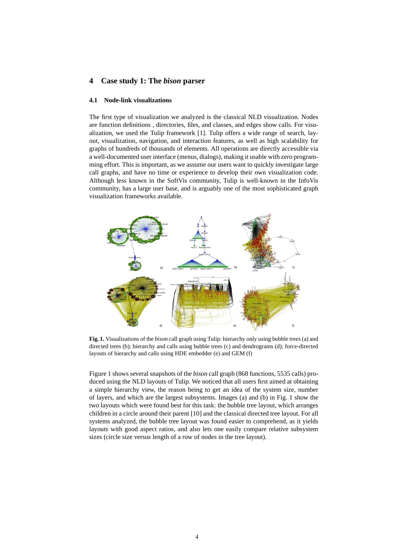# **4 Case study 1: The** *bison* **parser**

## **4.1 Node-link visualizations**

The first type of visualization we analyzed is the classical NLD visualization. Nodes are function definitions , directories, files, and classes, and edges show calls. For visualization, we used the Tulip framework [1]. Tulip offers a wide range of search, layout, visualization, navigation, and interaction features, as well as high scalability for graphs of hundreds of thousands of elements. All operations are directly accessible via a well-documented user interface (menus, dialogs), making it usable with zero programming effort. This is important, as we assume our users want to quickly investigate large call graphs, and have no time or experience to develop their own visualization code. Although less known in the SoftVis community, Tulip is well-known in the InfoVis community, has a large user base, and is arguably one of the most sophisticated graph visualization frameworks available.



**Fig. 1.** Visualizations of the *bison* call graph using Tulip: hierarchy only using bubble trees (a) and directed trees (b); hierarchy and calls using bubble trees (c) and dendrograms (d); force-directed layouts of hierarchy and calls using HDE embedder (e) and GEM (f)

Figure 1 shows several snapshots of the *bison* call graph (868 functions, 5535 calls) produced using the NLD layouts of Tulip. We noticed that all users first aimed at obtaining a simple hierarchy view, the reason being to get an idea of the system size, number of layers, and which are the largest subsystems. Images (a) and (b) in Fig. 1 show the two layouts which were found best for this task: the bubble tree layout, which arranges children in a circle around their parent [10] and the classical directed tree layout. For all systems analyzed, the bubble tree layout was found easier to comprehend, as it yields layouts with good aspect ratios, and also lets one easily compare relative subsystem sizes (circle size versus length of a row of nodes in the tree layout).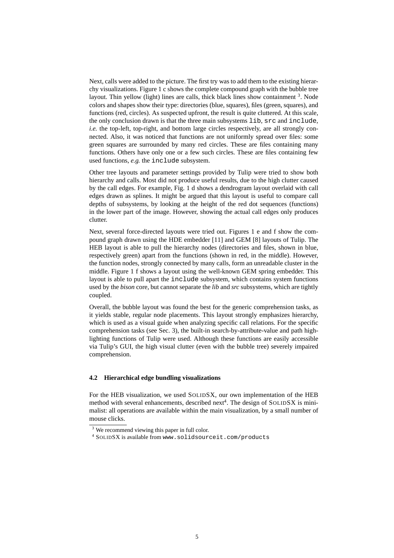Next, calls were added to the picture. The first try was to add them to the existing hierarchy visualizations. Figure 1 c shows the complete compound graph with the bubble tree layout. Thin yellow (light) lines are calls, thick black lines show containment <sup>3</sup>. Node colors and shapes show their type: directories (blue, squares), files (green, squares), and functions (red, circles). As suspected upfront, the result is quite cluttered. At this scale, the only conclusion drawn is that the three main subsystems lib, src and include, *i.e.* the top-left, top-right, and bottom large circles respectively, are all strongly connected. Also, it was noticed that functions are not uniformly spread over files: some green squares are surrounded by many red circles. These are files containing many functions. Others have only one or a few such circles. These are files containing few used functions, *e.g.* the include subsystem.

Other tree layouts and parameter settings provided by Tulip were tried to show both hierarchy and calls. Most did not produce useful results, due to the high clutter caused by the call edges. For example, Fig. 1 d shows a dendrogram layout overlaid with call edges drawn as splines. It might be argued that this layout is useful to compare call depths of subsystems, by looking at the height of the red dot sequences (functions) in the lower part of the image. However, showing the actual call edges only produces clutter.

Next, several force-directed layouts were tried out. Figures 1 e and f show the compound graph drawn using the HDE embedder [11] and GEM [8] layouts of Tulip. The HEB layout is able to pull the hierarchy nodes (directories and files, shown in blue, respectively green) apart from the functions (shown in red, in the middle). However, the function nodes, strongly connected by many calls, form an unreadable cluster in the middle. Figure 1 f shows a layout using the well-known GEM spring embedder. This layout is able to pull apart the include subsystem, which contains system functions used by the *bison* core, but cannot separate the *lib* and *src* subsystems, which are tightly coupled.

Overall, the bubble layout was found the best for the generic comprehension tasks, as it yields stable, regular node placements. This layout strongly emphasizes hierarchy, which is used as a visual guide when analyzing specific call relations. For the specific comprehension tasks (see Sec. 3), the built-in search-by-attribute-value and path highlighting functions of Tulip were used. Although these functions are easily accessible via Tulip's GUI, the high visual clutter (even with the bubble tree) severely impaired comprehension.

### **4.2 Hierarchical edge bundling visualizations**

For the HEB visualization, we used SOLIDSX, our own implementation of the HEB method with several enhancements, described next<sup>4</sup>. The design of SOLIDSX is minimalist: all operations are available within the main visualization, by a small number of mouse clicks.

<sup>&</sup>lt;sup>3</sup> We recommend viewing this paper in full color.

<sup>4</sup> SOLIDSX is available from www.solidsourceit.com/products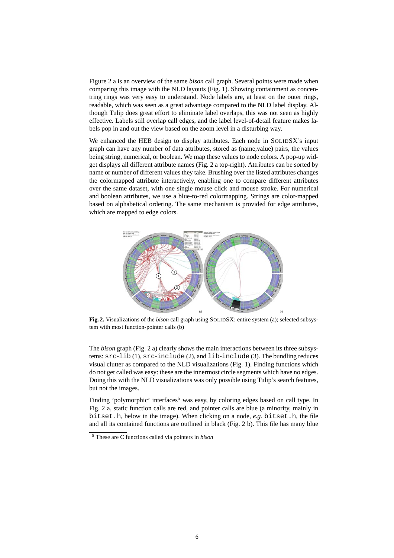Figure 2 a is an overview of the same *bison* call graph. Several points were made when comparing this image with the NLD layouts (Fig. 1). Showing containment as concentring rings was very easy to understand. Node labels are, at least on the outer rings, readable, which was seen as a great advantage compared to the NLD label display. Although Tulip does great effort to eliminate label overlaps, this was not seen as highly effective. Labels still overlap call edges, and the label level-of-detail feature makes labels pop in and out the view based on the zoom level in a disturbing way.

We enhanced the HEB design to display attributes. Each node in SOLIDSX's input graph can have any number of data attributes, stored as (name,value) pairs, the values being string, numerical, or boolean. We map these values to node colors. A pop-up widget displays all different attribute names (Fig. 2 a top-right). Attributes can be sorted by name or number of different values they take. Brushing over the listed attributes changes the colormapped attribute interactively, enabling one to compare different attributes over the same dataset, with one single mouse click and mouse stroke. For numerical and boolean attributes, we use a blue-to-red colormapping. Strings are color-mapped based on alphabetical ordering. The same mechanism is provided for edge attributes, which are mapped to edge colors.



**Fig. 2.** Visualizations of the *bison* call graph using SOLIDSX: entire system (a); selected subsystem with most function-pointer calls (b)

The *bison* graph (Fig. 2 a) clearly shows the main interactions between its three subsystems: src-lib (1), src-include (2), and lib-include (3). The bundling reduces visual clutter as compared to the NLD visualizations (Fig. 1). Finding functions which do not get called was easy: these are the innermost circle segments which have no edges. Doing this with the NLD visualizations was only possible using Tulip's search features, but not the images.

Finding 'polymorphic' interfaces<sup>5</sup> was easy, by coloring edges based on call type. In Fig. 2 a, static function calls are red, and pointer calls are blue (a minority, mainly in bitset.h, below in the image). When clicking on a node, *e.g.* bitset.h, the file and all its contained functions are outlined in black (Fig. 2 b). This file has many blue

<sup>5</sup> These are C functions called via pointers in *bison*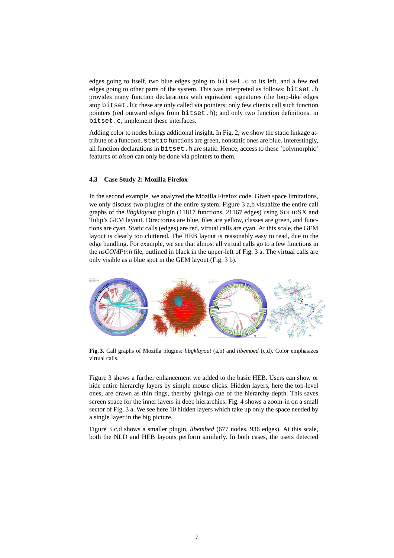edges going to itself, two blue edges going to bitset.c to its left, and a few red edges going to other parts of the system. This was interpreted as follows: bitset.h provides many function declarations with equivalent signatures (the loop-like edges atop bitset.h); these are only called via pointers; only few clients call such function pointers (red outward edges from bitset.h); and only two function definitions, in bitset.c, implement these interfaces.

Adding color to nodes brings additional insight. In Fig. 2, we show the static linkage attribute of a function. static functions are green, nonstatic ones are blue. Interestingly, all function declarations in bitset.h are static. Hence, access to these 'polymorphic' features of *bison* can only be done via pointers to them.

#### **4.3 Case Study 2: Mozilla Firefox**

In the second example, we analyzed the Mozilla Firefox code. Given space limitations, we only discuss two plugins of the entire system. Figure 3 a,b visualize the entire call graphs of the *libgklayout* plugin (11817 functions, 21167 edges) using SOLIDSX and Tulip's GEM layout. Directories are blue, files are yellow, classes are green, and functions are cyan. Static calls (edges) are red, virtual calls are cyan. At this scale, the GEM layout is clearly too cluttered. The HEB layout is reasonably easy to read, due to the edge bundling. For example, we see that almost all virtual calls go to a few functions in the *nsCOMPtr.h* file, outlined in black in the upper-left of Fig. 3 a. The virtual calls are only visible as a blue spot in the GEM layout (Fig. 3 b).



**Fig. 3.** Call graphs of Mozilla plugins: *libgklayout* (a,b) and *libembed* (c,d). Color emphasizes virtual calls.

Figure 3 shows a further enhancement we added to the basic HEB. Users can show or hide entire hierarchy layers by simple mouse clicks. Hidden layers, here the top-level ones, are drawn as thin rings, thereby givinga cue of the hierarchy depth. This saves screen space for the inner layers in deep hierarchies. Fig. 4 shows a zoom-in on a small sector of Fig. 3 a. We see here 10 hidden layers which take up only the space needed by a single layer in the big picture.

Figure 3 c,d shows a smaller plugin, *libembed* (677 nodes, 936 edges). At this scale, both the NLD and HEB layouts perform similarly. In both cases, the users detected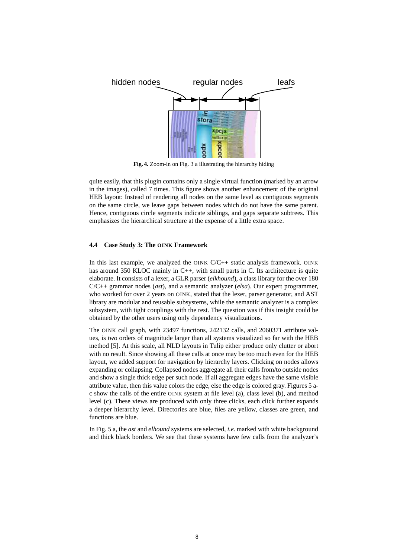

**Fig. 4.** Zoom-in on Fig. 3 a illustrating the hierarchy hiding

quite easily, that this plugin contains only a single virtual function (marked by an arrow in the images), called 7 times. This figure shows another enhancement of the original HEB layout: Instead of rendering all nodes on the same level as contiguous segments on the same circle, we leave gaps between nodes which do not have the same parent. Hence, contiguous circle segments indicate siblings, and gaps separate subtrees. This emphasizes the hierarchical structure at the expense of a little extra space.

### **4.4 Case Study 3: The OINK Framework**

In this last example, we analyzed the OINK  $C/C++$  static analysis framework. OINK has around 350 KLOC mainly in C++, with small parts in C. Its architecture is quite elaborate. It consists of a lexer, a GLR parser (*elkhound*), a class library for the over 180 C/C++ grammar nodes (*ast*), and a semantic analyzer (*elsa*). Our expert programmer, who worked for over 2 years on OINK, stated that the lexer, parser generator, and AST library are modular and reusable subsystems, while the semantic analyzer is a complex subsystem, with tight couplings with the rest. The question was if this insight could be obtained by the other users using only dependency visualizations.

The OINK call graph, with 23497 functions, 242132 calls, and 2060371 attribute values, is *two* orders of magnitude larger than all systems visualized so far with the HEB method [5]. At this scale, all NLD layouts in Tulip either produce only clutter or abort with no result. Since showing all these calls at once may be too much even for the HEB layout, we added support for navigation by hierarchy layers. Clicking on nodes allows expanding or collapsing. Collapsed nodes aggregate all their calls from/to outside nodes and show a single thick edge per such node. If all aggregate edges have the same visible attribute value, then this value colors the edge, else the edge is colored gray. Figures 5 ac show the calls of the entire OINK system at file level (a), class level (b), and method level (c). These views are produced with only three clicks, each click further expands a deeper hierarchy level. Directories are blue, files are yellow, classes are green, and functions are blue.

In Fig. 5 a, the *ast* and *elhound* systems are selected, *i.e.* marked with white background and thick black borders. We see that these systems have few calls from the analyzer's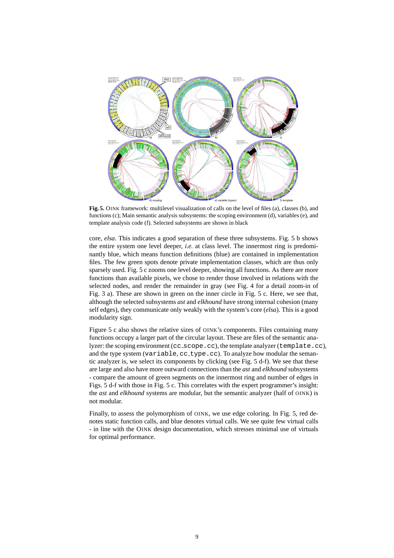

**Fig. 5.** OINK framework: multilevel visualization of calls on the level of files (a), classes (b), and functions (c); Main semantic analysis subsystems: the scoping environment (d), variables (e), and template analysis code (f). Selected subsystems are shown in black

core, *elsa*. This indicates a good separation of these three subsystems. Fig. 5 b shows the entire system one level deeper, *i.e.* at class level. The innermost ring is predominantly blue, which means function definitions (blue) are contained in implementation files. The few green spots denote private implementation classes, which are thus only sparsely used. Fig. 5 c zooms one level deeper, showing all functions. As there are more functions than available pixels, we chose to render those involved in relations with the selected nodes, and render the remainder in gray (see Fig. 4 for a detail zoom-in of Fig. 3 a). These are shown in green on the inner circle in Fig. 5 c. Here, we see that, although the selected subsystems *ast* and *elkhound* have strong internal cohesion (many self edges), they communicate only weakly with the system's core (*elsa*). This is a good modularity sign.

Figure 5 c also shows the relative sizes of OINK's components. Files containing many functions occupy a larger part of the circular layout. These are files of the semantic analyzer: the scoping environment (cc\_scope.cc), the template analyzer (template.cc), and the type system (variable, cc type.cc). To analyze how modular the semantic analyzer is, we select its components by clicking (see Fig. 5 d-f). We see that these are large and also have more outward connections than the *ast* and *elkhound* subsystems - compare the amount of green segments on the innermost ring and number of edges in Figs. 5 d-f with those in Fig. 5 c. This correlates with the expert programmer's insight: the *ast* and *elkhound* systems are modular, but the semantic analyzer (half of OINK) is not modular.

Finally, to assess the polymorphism of OINK, we use edge coloring. In Fig. 5, red denotes static function calls, and blue denotes virtual calls. We see quite few virtual calls - in line with the OINK design documentation, which stresses minimal use of virtuals for optimal performance.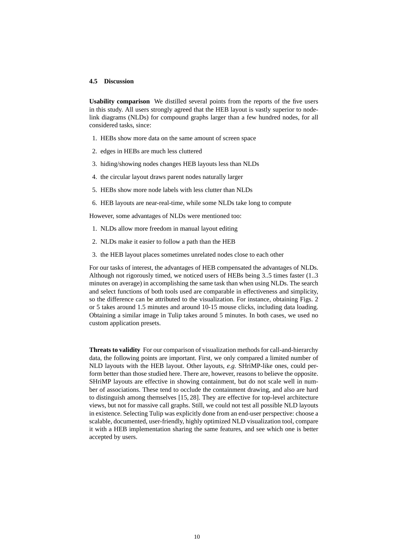#### **4.5 Discussion**

**Usability comparison** We distilled several points from the reports of the five users in this study. All users strongly agreed that the HEB layout is vastly superior to nodelink diagrams (NLDs) for compound graphs larger than a few hundred nodes, for all considered tasks, since:

- 1. HEBs show more data on the same amount of screen space
- 2. edges in HEBs are much less cluttered
- 3. hiding/showing nodes changes HEB layouts less than NLDs
- 4. the circular layout draws parent nodes naturally larger
- 5. HEBs show more node labels with less clutter than NLDs
- 6. HEB layouts are near-real-time, while some NLDs take long to compute

However, some advantages of NLDs were mentioned too:

- 1. NLDs allow more freedom in manual layout editing
- 2. NLDs make it easier to follow a path than the HEB
- 3. the HEB layout places sometimes unrelated nodes close to each other

For our tasks of interest, the advantages of HEB compensated the advantages of NLDs. Although not rigorously timed, we noticed users of HEBs being 3..5 times faster (1..3 minutes on average) in accomplishing the same task than when using NLDs. The search and select functions of both tools used are comparable in effectiveness and simplicity, so the difference can be attributed to the visualization. For instance, obtaining Figs. 2 or 5 takes around 1.5 minutes and around 10-15 mouse clicks, including data loading. Obtaining a similar image in Tulip takes around 5 minutes. In both cases, we used no custom application presets.

**Threats to validity** For our comparison of visualization methods for call-and-hierarchy data, the following points are important. First, we only compared a limited number of NLD layouts with the HEB layout. Other layouts, *e.g.* SHriMP-like ones, could perform better than those studied here. There are, however, reasons to believe the opposite. SHriMP layouts are effective in showing containment, but do not scale well in number of associations. These tend to occlude the containment drawing, and also are hard to distinguish among themselves [15, 28]. They are effective for top-level architecture views, but not for massive call graphs. Still, we could not test all possible NLD layouts in existence. Selecting Tulip was explicitly done from an end-user perspective: choose a scalable, documented, user-friendly, highly optimized NLD visualization tool, compare it with a HEB implementation sharing the same features, and see which one is better accepted by users.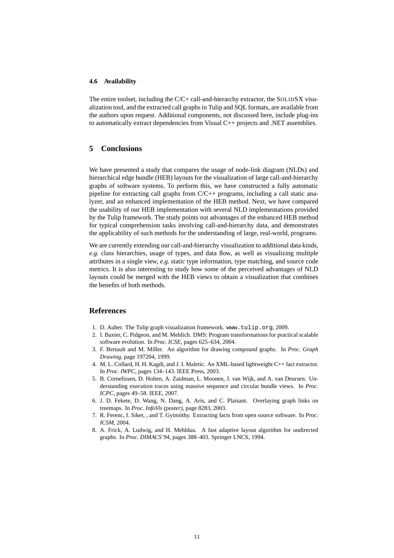#### **4.6 Availability**

The entire toolset, including the C/C+ call-and-hierarchy extractor, the SOLIDSX visualization tool, and the extracted call graphs in Tulip and SQL formats, are available from the authors upon request. Additional components, not discussed here, include plug-ins to automatically extract dependencies from Visual C++ projects and .NET assemblies.

# **5 Conclusions**

We have presented a study that compares the usage of node-link diagram (NLDs) and hierarchical edge bundle (HEB) layouts for the visualization of large call-and-hierarchy graphs of software systems. To perform this, we have constructed a fully automatic pipeline for extracting call graphs from C/C++ programs, including a call static analyzer, and an enhanced implementation of the HEB method. Next, we have compared the usability of our HEB implementation with several NLD implementations provided by the Tulip framework. The study points out advantages of the enhanced HEB method for typical comprehension tasks involving call-and-hierarchy data, and demonstrates the applicability of such methods for the understanding of large, real-world, programs.

We are currently extending our call-and-hierarchy visualization to additional data kinds. *e.g.* class hierarchies, usage of types, and data flow, as well as visualizing multiple attributes in a single view, *e.g.* static type information, type matching, and source code metrics. It is also interesting to study how some of the perceived advantages of NLD layouts could be merged with the HEB views to obtain a visualization that combines the benefits of both methods.

# **References**

- 1. D. Auber. The Tulip graph visualization framework. www.tulip.org, 2009.
- 2. I. Baxter, C. Pidgeon, and M. Mehlich. DMS: Program transformations for practical scalable software evolution. In *Proc. ICSE*, pages 625–634, 2004.
- 3. F. Bertault and M. Miller. An algorithm for drawing compound graphs. In *Proc. Graph Drawing*, page 197204, 1999.
- 4. M. L. Collard, H. H. Kagdi, and J. I. Maletic. An XML-based lightweight C++ fact extractor. In *Proc. IWPC*, pages 134–143. IEEE Press, 2003.
- 5. B. Cornelissen, D. Holten, A. Zaidman, L. Moonen, J. van Wijk, and A. van Deursen. Understanding execution traces using massive sequence and circular bundle views. In *Proc. ICPC*, pages 49–58. IEEE, 2007.
- 6. J. D. Fekete, D. Wang, N. Dang, A. Aris, and C. Plaisant. Overlaying graph links on treemaps. In *Proc. InfoVis (poster)*, page 8283, 2003.
- 7. R. Ferenc, I. Siket, , and T. Gyimothy. Extracting facts from open source software. In ´ *Proc. ICSM*, 2004.
- 8. A. Frick, A. Ludwig, and H. Mehldau. A fast adaptive layout algorithm for undirected graphs. In *Proc. DIMACS'94*, pages 388–403. Springer LNCS, 1994.